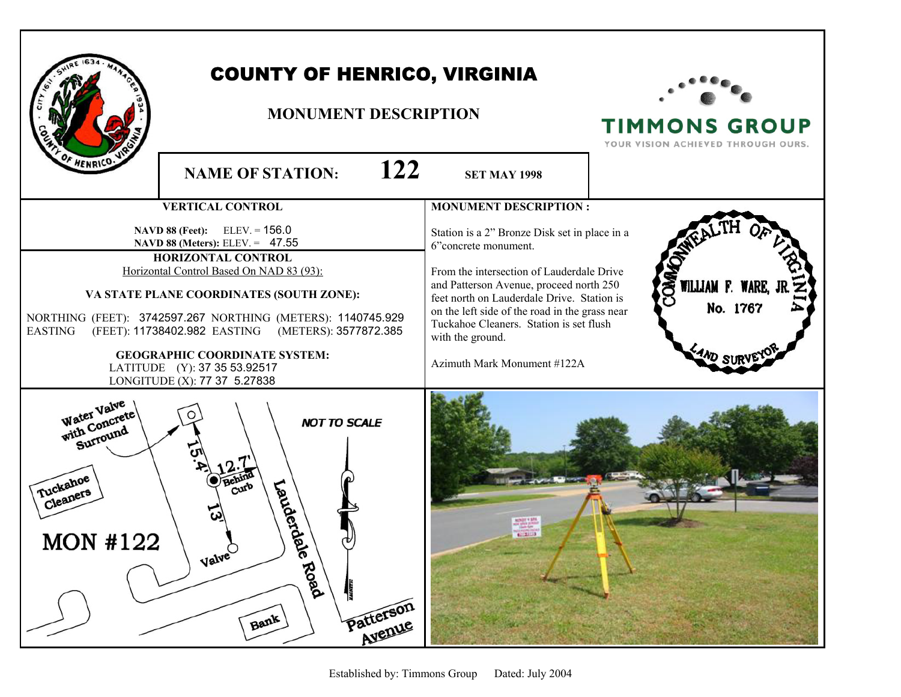| HENRICO.                                                                            | <b>COUNTY OF HENRICO, VIRGINIA</b><br><b>MONUMENT DESCRIPTION</b><br>122<br><b>NAME OF STATION:</b>                                                                                                                                                                                                                                                                                                                                             | <b>SET MAY 1998</b>                                                                                                                                                                                                                                                                                                                                                                         | <b>TIMMONS GROUP</b><br>YOUR VISION ACHIEVED THROUGH OURS.                               |
|-------------------------------------------------------------------------------------|-------------------------------------------------------------------------------------------------------------------------------------------------------------------------------------------------------------------------------------------------------------------------------------------------------------------------------------------------------------------------------------------------------------------------------------------------|---------------------------------------------------------------------------------------------------------------------------------------------------------------------------------------------------------------------------------------------------------------------------------------------------------------------------------------------------------------------------------------------|------------------------------------------------------------------------------------------|
| <b>EASTING</b>                                                                      | <b>VERTICAL CONTROL</b><br><b>NAVD 88 (Feet):</b> ELEV. = $156.0$<br>NAVD 88 (Meters): ELEV. = 47.55<br>HORIZONTAL CONTROL<br>Horizontal Control Based On NAD 83 (93):<br>VA STATE PLANE COORDINATES (SOUTH ZONE):<br>NORTHING (FEET): 3742597.267 NORTHING (METERS): 1140745.929<br>(FEET): 11738402.982 EASTING (METERS): 3577872.385<br><b>GEOGRAPHIC COORDINATE SYSTEM:</b><br>LATITUDE (Y): 37 35 53.92517<br>LONGITUDE (X): 77 37 5.27838 | <b>MONUMENT DESCRIPTION:</b><br>Station is a 2" Bronze Disk set in place in a<br>6"concrete monument.<br>From the intersection of Lauderdale Drive<br>and Patterson Avenue, proceed north 250<br>feet north on Lauderdale Drive. Station is<br>on the left side of the road in the grass near<br>Tuckahoe Cleaners. Station is set flush<br>with the ground.<br>Azimuth Mark Monument #122A | <b>OMA</b><br>WILLIAM F. WARE,<br>No. 1767<br>$^{7}$ <sup><math>N</math></sup> $D$ $SUR$ |
| Water Valve<br>with Concrete<br>Surround<br>Tuckahoe<br>Cleaners<br><b>MON #122</b> | <b>NOT TO SCALE</b><br>Landerdal<br>$\text{curl}^b$<br>Valve<br>Q,<br>Road<br>Patterson<br>Bank                                                                                                                                                                                                                                                                                                                                                 | $87.21 - 3$                                                                                                                                                                                                                                                                                                                                                                                 |                                                                                          |

Г

٦